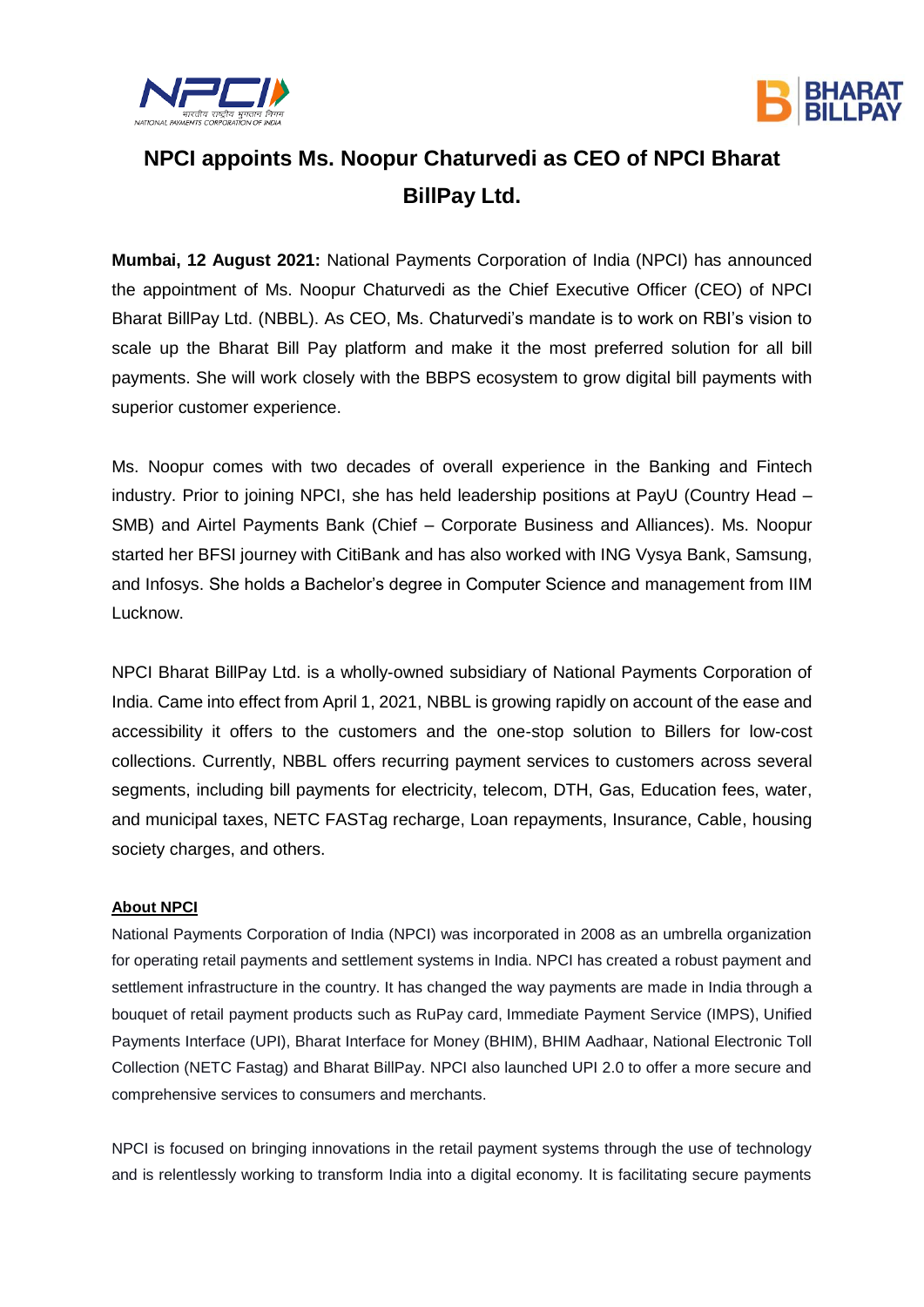



## **NPCI appoints Ms. Noopur Chaturvedi as CEO of NPCI Bharat BillPay Ltd.**

**Mumbai, 12 August 2021:** National Payments Corporation of India (NPCI) has announced the appointment of Ms. Noopur Chaturvedi as the Chief Executive Officer (CEO) of NPCI Bharat BillPay Ltd. (NBBL). As CEO, Ms. Chaturvedi's mandate is to work on RBI's vision to scale up the Bharat Bill Pay platform and make it the most preferred solution for all bill payments. She will work closely with the BBPS ecosystem to grow digital bill payments with superior customer experience.

Ms. Noopur comes with two decades of overall experience in the Banking and Fintech industry. Prior to joining NPCI, she has held leadership positions at PayU (Country Head – SMB) and Airtel Payments Bank (Chief – Corporate Business and Alliances). Ms. Noopur started her BFSI journey with CitiBank and has also worked with ING Vysya Bank, Samsung, and Infosys. She holds a Bachelor's degree in Computer Science and management from IIM Lucknow.

NPCI Bharat BillPay Ltd. is a wholly-owned subsidiary of National Payments Corporation of India. Came into effect from April 1, 2021, NBBL is growing rapidly on account of the ease and accessibility it offers to the customers and the one-stop solution to Billers for low-cost collections. Currently, NBBL offers recurring payment services to customers across several segments, including bill payments for electricity, telecom, DTH, Gas, Education fees, water, and municipal taxes, NETC FASTag recharge, Loan repayments, Insurance, Cable, housing society charges, and others.

## **About NPCI**

National Payments Corporation of India (NPCI) was incorporated in 2008 as an umbrella organization for operating retail payments and settlement systems in India. NPCI has created a robust payment and settlement infrastructure in the country. It has changed the way payments are made in India through a bouquet of retail payment products such as [RuPay card,](https://ind01.safelinks.protection.outlook.com/?url=https%3A%2F%2Fwww.npci.org.in%2Fproduct-overview%2Frupay-product-overview&data=04%7C01%7Cnoopur.chaturvedi%40npci.org.in%7C3fdfcc3e7cd0429cf2bd08d95bbfb335%7C8ca9216b1bdf40569775f5e402a48d32%7C0%7C0%7C637641701176380113%7CUnknown%7CTWFpbGZsb3d8eyJWIjoiMC4wLjAwMDAiLCJQIjoiV2luMzIiLCJBTiI6Ik1haWwiLCJXVCI6Mn0%3D%7C1000&sdata=kBqzYZJHXoL2OGq8tjxzHwEXT2N7CWI%2Fi06T72Y0aiI%3D&reserved=0) [Immediate Payment Service \(IMPS\),](https://ind01.safelinks.protection.outlook.com/?url=https%3A%2F%2Fwww.npci.org.in%2Fproduct-overview%2Fimps-product-overview&data=04%7C01%7Cnoopur.chaturvedi%40npci.org.in%7C3fdfcc3e7cd0429cf2bd08d95bbfb335%7C8ca9216b1bdf40569775f5e402a48d32%7C0%7C0%7C637641701176380113%7CUnknown%7CTWFpbGZsb3d8eyJWIjoiMC4wLjAwMDAiLCJQIjoiV2luMzIiLCJBTiI6Ik1haWwiLCJXVCI6Mn0%3D%7C1000&sdata=%2FZmrsdoJNwdbXU3vsizrHo7Bd3Sk%2BOnOraMSpgfoUyA%3D&reserved=0) [Unified](https://ind01.safelinks.protection.outlook.com/?url=https%3A%2F%2Fwww.npci.org.in%2Fproduct-overview%2Fupi-product-overview&data=04%7C01%7Cnoopur.chaturvedi%40npci.org.in%7C3fdfcc3e7cd0429cf2bd08d95bbfb335%7C8ca9216b1bdf40569775f5e402a48d32%7C0%7C0%7C637641701176390117%7CUnknown%7CTWFpbGZsb3d8eyJWIjoiMC4wLjAwMDAiLCJQIjoiV2luMzIiLCJBTiI6Ik1haWwiLCJXVCI6Mn0%3D%7C1000&sdata=toiGLEP7DBt19cz1W93pAQhESyMXPPUd3ZfzsDWbiFk%3D&reserved=0)  [Payments Interface \(UPI\),](https://ind01.safelinks.protection.outlook.com/?url=https%3A%2F%2Fwww.npci.org.in%2Fproduct-overview%2Fupi-product-overview&data=04%7C01%7Cnoopur.chaturvedi%40npci.org.in%7C3fdfcc3e7cd0429cf2bd08d95bbfb335%7C8ca9216b1bdf40569775f5e402a48d32%7C0%7C0%7C637641701176390117%7CUnknown%7CTWFpbGZsb3d8eyJWIjoiMC4wLjAwMDAiLCJQIjoiV2luMzIiLCJBTiI6Ik1haWwiLCJXVCI6Mn0%3D%7C1000&sdata=toiGLEP7DBt19cz1W93pAQhESyMXPPUd3ZfzsDWbiFk%3D&reserved=0) [Bharat Interface for Money \(BHIM\),](https://ind01.safelinks.protection.outlook.com/?url=https%3A%2F%2Fwww.npci.org.in%2Fproduct-overview%2Fbhim-product-overview&data=04%7C01%7Cnoopur.chaturvedi%40npci.org.in%7C3fdfcc3e7cd0429cf2bd08d95bbfb335%7C8ca9216b1bdf40569775f5e402a48d32%7C0%7C0%7C637641701176400109%7CUnknown%7CTWFpbGZsb3d8eyJWIjoiMC4wLjAwMDAiLCJQIjoiV2luMzIiLCJBTiI6Ik1haWwiLCJXVCI6Mn0%3D%7C1000&sdata=8xjxuQOqmJvrfXRLlCXT%2BGNy1dEbgE1i9%2B6PzeARF0U%3D&reserved=0) [BHIM Aadhaar,](https://ind01.safelinks.protection.outlook.com/?url=https%3A%2F%2Fwww.npci.org.in%2Fproduct-overview%2Fbhim-aadhaar&data=04%7C01%7Cnoopur.chaturvedi%40npci.org.in%7C3fdfcc3e7cd0429cf2bd08d95bbfb335%7C8ca9216b1bdf40569775f5e402a48d32%7C0%7C0%7C637641701176400109%7CUnknown%7CTWFpbGZsb3d8eyJWIjoiMC4wLjAwMDAiLCJQIjoiV2luMzIiLCJBTiI6Ik1haWwiLCJXVCI6Mn0%3D%7C1000&sdata=7tVDL4yeQ83XZa7u6X6cHlKc6ypB%2ByOWkE4yhRSxesc%3D&reserved=0) [National Electronic Toll](https://ind01.safelinks.protection.outlook.com/?url=https%3A%2F%2Fwww.npci.org.in%2Fnetc&data=04%7C01%7Cnoopur.chaturvedi%40npci.org.in%7C3fdfcc3e7cd0429cf2bd08d95bbfb335%7C8ca9216b1bdf40569775f5e402a48d32%7C0%7C0%7C637641701176410105%7CUnknown%7CTWFpbGZsb3d8eyJWIjoiMC4wLjAwMDAiLCJQIjoiV2luMzIiLCJBTiI6Ik1haWwiLCJXVCI6Mn0%3D%7C1000&sdata=R8ZRa2tEGkOEG6hfYA33364b%2FCwsxQ1bSisy2XNUR1c%3D&reserved=0)  [Collection \(NETC Fastag\)](https://ind01.safelinks.protection.outlook.com/?url=https%3A%2F%2Fwww.npci.org.in%2Fnetc&data=04%7C01%7Cnoopur.chaturvedi%40npci.org.in%7C3fdfcc3e7cd0429cf2bd08d95bbfb335%7C8ca9216b1bdf40569775f5e402a48d32%7C0%7C0%7C637641701176410105%7CUnknown%7CTWFpbGZsb3d8eyJWIjoiMC4wLjAwMDAiLCJQIjoiV2luMzIiLCJBTiI6Ik1haWwiLCJXVCI6Mn0%3D%7C1000&sdata=R8ZRa2tEGkOEG6hfYA33364b%2FCwsxQ1bSisy2XNUR1c%3D&reserved=0) and [Bharat BillPay.](https://ind01.safelinks.protection.outlook.com/?url=https%3A%2F%2Fwww.npci.org.in%2Fproduct-overview%2Fbharat-billpay-product-overview&data=04%7C01%7Cnoopur.chaturvedi%40npci.org.in%7C3fdfcc3e7cd0429cf2bd08d95bbfb335%7C8ca9216b1bdf40569775f5e402a48d32%7C0%7C0%7C637641701176410105%7CUnknown%7CTWFpbGZsb3d8eyJWIjoiMC4wLjAwMDAiLCJQIjoiV2luMzIiLCJBTiI6Ik1haWwiLCJXVCI6Mn0%3D%7C1000&sdata=PczPESHfja40%2FNjCv%2BNPQIuB9jbfKkPnWGJy0Mirc3c%3D&reserved=0) NPCI also launched UPI 2.0 to offer a more secure and comprehensive services to consumers and merchants.

NPCI is focused on bringing innovations in the retail payment systems through the use of technology and is relentlessly working to transform India into a digital economy. It is facilitating secure payments